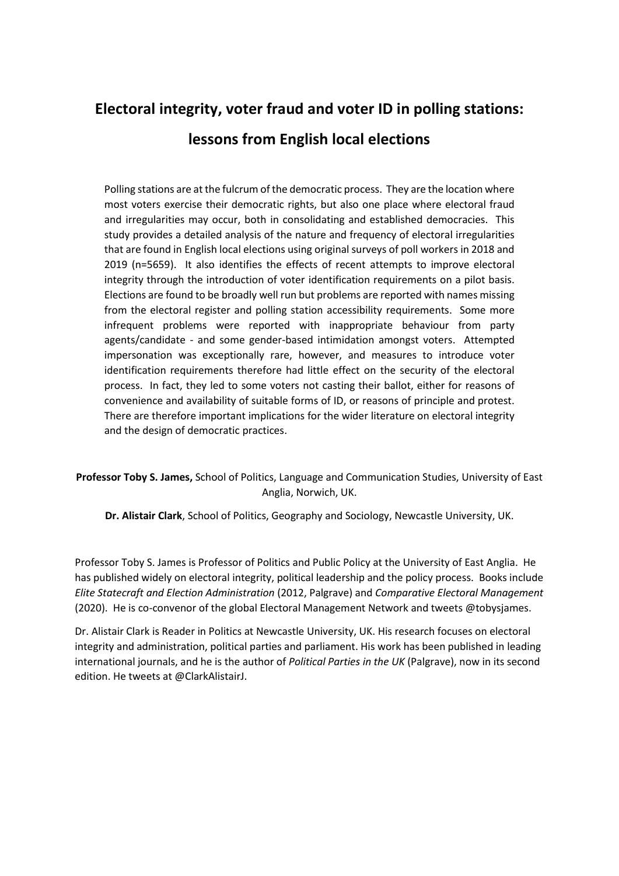# **Electoral integrity, voter fraud and voter ID in polling stations: lessons from English local elections**

Polling stations are at the fulcrum of the democratic process. They are the location where most voters exercise their democratic rights, but also one place where electoral fraud and irregularities may occur, both in consolidating and established democracies. This study provides a detailed analysis of the nature and frequency of electoral irregularities that are found in English local elections using original surveys of poll workers in 2018 and 2019 (n=5659). It also identifies the effects of recent attempts to improve electoral integrity through the introduction of voter identification requirements on a pilot basis. Elections are found to be broadly well run but problems are reported with names missing from the electoral register and polling station accessibility requirements. Some more infrequent problems were reported with inappropriate behaviour from party agents/candidate - and some gender-based intimidation amongst voters. Attempted impersonation was exceptionally rare, however, and measures to introduce voter identification requirements therefore had little effect on the security of the electoral process. In fact, they led to some voters not casting their ballot, either for reasons of convenience and availability of suitable forms of ID, or reasons of principle and protest. There are therefore important implications for the wider literature on electoral integrity and the design of democratic practices.

**Professor Toby S. James,** School of Politics, Language and Communication Studies, University of East Anglia, Norwich, UK.

**Dr. Alistair Clark**, School of Politics, Geography and Sociology, Newcastle University, UK.

Professor Toby S. James is Professor of Politics and Public Policy at the University of East Anglia. He has published widely on electoral integrity, political leadership and the policy process. Books include *Elite Statecraft and Election Administration* (2012, Palgrave) and *Comparative Electoral Management* (2020). He is co-convenor of the global Electoral Management Network and tweets @tobysjames.

Dr. Alistair Clark is Reader in Politics at Newcastle University, UK. His research focuses on electoral integrity and administration, political parties and parliament. His work has been published in leading international journals, and he is the author of *Political Parties in the UK* (Palgrave), now in its second edition. He tweets at @ClarkAlistairJ.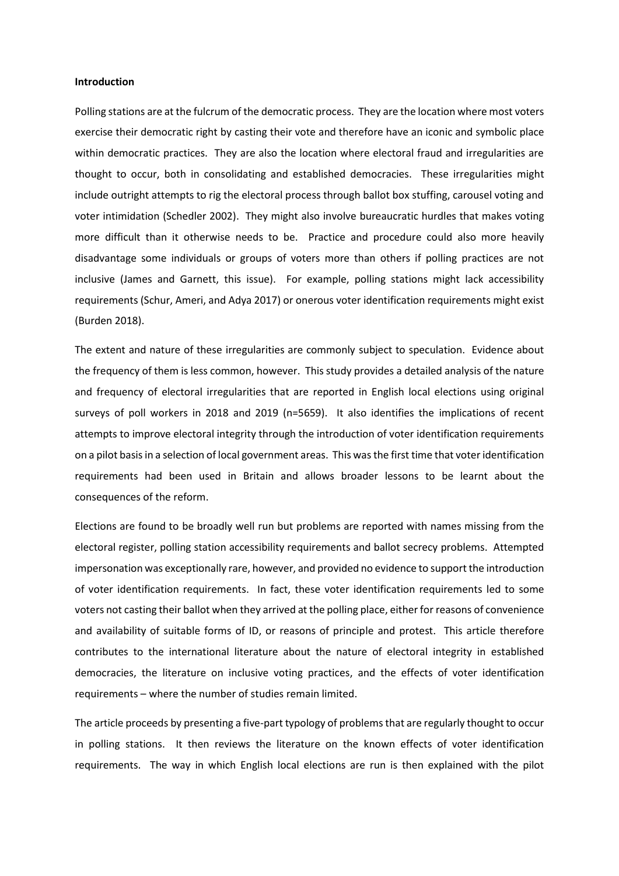### **Introduction**

Polling stations are at the fulcrum of the democratic process. They are the location where most voters exercise their democratic right by casting their vote and therefore have an iconic and symbolic place within democratic practices. They are also the location where electoral fraud and irregularities are thought to occur, both in consolidating and established democracies. These irregularities might include outright attempts to rig the electoral process through ballot box stuffing, carousel voting and voter intimidation (Schedler 2002). They might also involve bureaucratic hurdles that makes voting more difficult than it otherwise needs to be. Practice and procedure could also more heavily disadvantage some individuals or groups of voters more than others if polling practices are not inclusive (James and Garnett, this issue). For example, polling stations might lack accessibility requirements (Schur, Ameri, and Adya 2017) or onerous voter identification requirements might exist (Burden 2018).

The extent and nature of these irregularities are commonly subject to speculation. Evidence about the frequency of them is less common, however. This study provides a detailed analysis of the nature and frequency of electoral irregularities that are reported in English local elections using original surveys of poll workers in 2018 and 2019 (n=5659). It also identifies the implications of recent attempts to improve electoral integrity through the introduction of voter identification requirements on a pilot basisin a selection of local government areas. This wasthe first time that voter identification requirements had been used in Britain and allows broader lessons to be learnt about the consequences of the reform.

Elections are found to be broadly well run but problems are reported with names missing from the electoral register, polling station accessibility requirements and ballot secrecy problems. Attempted impersonation was exceptionally rare, however, and provided no evidence to support the introduction of voter identification requirements. In fact, these voter identification requirements led to some voters not casting their ballot when they arrived at the polling place, either for reasons of convenience and availability of suitable forms of ID, or reasons of principle and protest. This article therefore contributes to the international literature about the nature of electoral integrity in established democracies, the literature on inclusive voting practices, and the effects of voter identification requirements – where the number of studies remain limited.

The article proceeds by presenting a five-part typology of problems that are regularly thought to occur in polling stations. It then reviews the literature on the known effects of voter identification requirements. The way in which English local elections are run is then explained with the pilot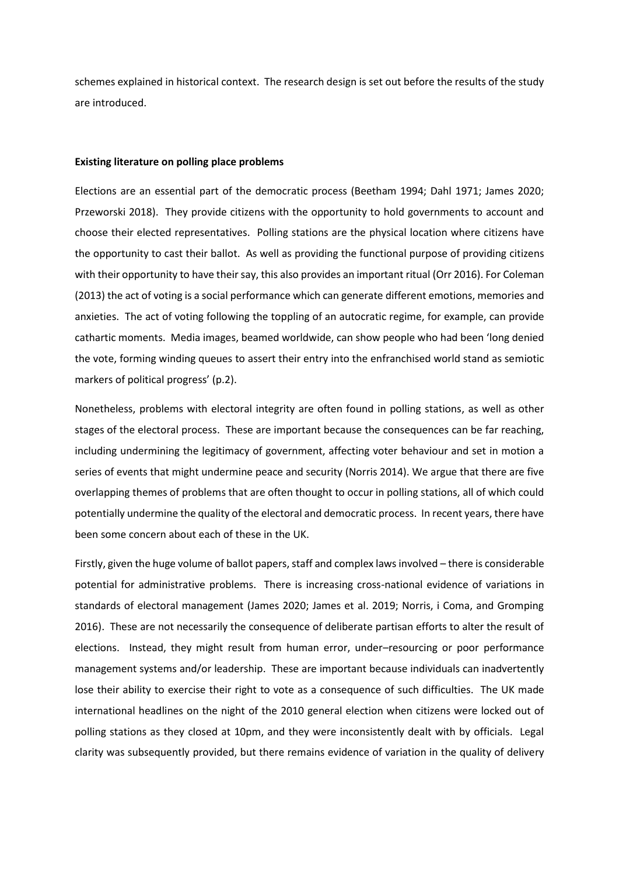schemes explained in historical context. The research design is set out before the results of the study are introduced.

#### **Existing literature on polling place problems**

Elections are an essential part of the democratic process (Beetham 1994; Dahl 1971; James 2020; Przeworski 2018). They provide citizens with the opportunity to hold governments to account and choose their elected representatives. Polling stations are the physical location where citizens have the opportunity to cast their ballot. As well as providing the functional purpose of providing citizens with their opportunity to have their say, this also provides an important ritual (Orr 2016). For Coleman (2013) the act of voting is a social performance which can generate different emotions, memories and anxieties. The act of voting following the toppling of an autocratic regime, for example, can provide cathartic moments. Media images, beamed worldwide, can show people who had been 'long denied the vote, forming winding queues to assert their entry into the enfranchised world stand as semiotic markers of political progress' (p.2).

Nonetheless, problems with electoral integrity are often found in polling stations, as well as other stages of the electoral process. These are important because the consequences can be far reaching, including undermining the legitimacy of government, affecting voter behaviour and set in motion a series of events that might undermine peace and security (Norris 2014). We argue that there are five overlapping themes of problems that are often thought to occur in polling stations, all of which could potentially undermine the quality of the electoral and democratic process. In recent years, there have been some concern about each of these in the UK.

Firstly, given the huge volume of ballot papers, staff and complex laws involved – there is considerable potential for administrative problems. There is increasing cross-national evidence of variations in standards of electoral management (James 2020; James et al. 2019; Norris, i Coma, and Gromping 2016). These are not necessarily the consequence of deliberate partisan efforts to alter the result of elections. Instead, they might result from human error, under–resourcing or poor performance management systems and/or leadership. These are important because individuals can inadvertently lose their ability to exercise their right to vote as a consequence of such difficulties. The UK made international headlines on the night of the 2010 general election when citizens were locked out of polling stations as they closed at 10pm, and they were inconsistently dealt with by officials. Legal clarity was subsequently provided, but there remains evidence of variation in the quality of delivery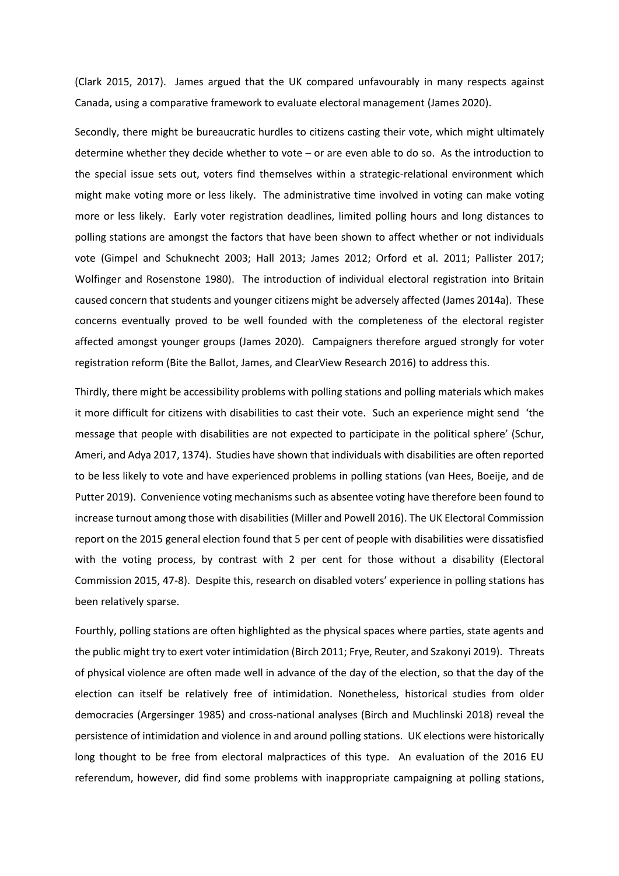(Clark 2015, 2017). James argued that the UK compared unfavourably in many respects against Canada, using a comparative framework to evaluate electoral management (James 2020).

Secondly, there might be bureaucratic hurdles to citizens casting their vote, which might ultimately determine whether they decide whether to vote – or are even able to do so. As the introduction to the special issue sets out, voters find themselves within a strategic-relational environment which might make voting more or less likely. The administrative time involved in voting can make voting more or less likely. Early voter registration deadlines, limited polling hours and long distances to polling stations are amongst the factors that have been shown to affect whether or not individuals vote (Gimpel and Schuknecht 2003; Hall 2013; James 2012; Orford et al. 2011; Pallister 2017; Wolfinger and Rosenstone 1980). The introduction of individual electoral registration into Britain caused concern that students and younger citizens might be adversely affected (James 2014a). These concerns eventually proved to be well founded with the completeness of the electoral register affected amongst younger groups (James 2020). Campaigners therefore argued strongly for voter registration reform (Bite the Ballot, James, and ClearView Research 2016) to address this.

Thirdly, there might be accessibility problems with polling stations and polling materials which makes it more difficult for citizens with disabilities to cast their vote. Such an experience might send 'the message that people with disabilities are not expected to participate in the political sphere' (Schur, Ameri, and Adya 2017, 1374). Studies have shown that individuals with disabilities are often reported to be less likely to vote and have experienced problems in polling stations (van Hees, Boeije, and de Putter 2019). Convenience voting mechanisms such as absentee voting have therefore been found to increase turnout among those with disabilities (Miller and Powell 2016). The UK Electoral Commission report on the 2015 general election found that 5 per cent of people with disabilities were dissatisfied with the voting process, by contrast with 2 per cent for those without a disability (Electoral Commission 2015, 47-8). Despite this, research on disabled voters' experience in polling stations has been relatively sparse.

Fourthly, polling stations are often highlighted as the physical spaces where parties, state agents and the public might try to exert voter intimidation (Birch 2011; Frye, Reuter, and Szakonyi 2019). Threats of physical violence are often made well in advance of the day of the election, so that the day of the election can itself be relatively free of intimidation. Nonetheless, historical studies from older democracies (Argersinger 1985) and cross-national analyses (Birch and Muchlinski 2018) reveal the persistence of intimidation and violence in and around polling stations. UK elections were historically long thought to be free from electoral malpractices of this type. An evaluation of the 2016 EU referendum, however, did find some problems with inappropriate campaigning at polling stations,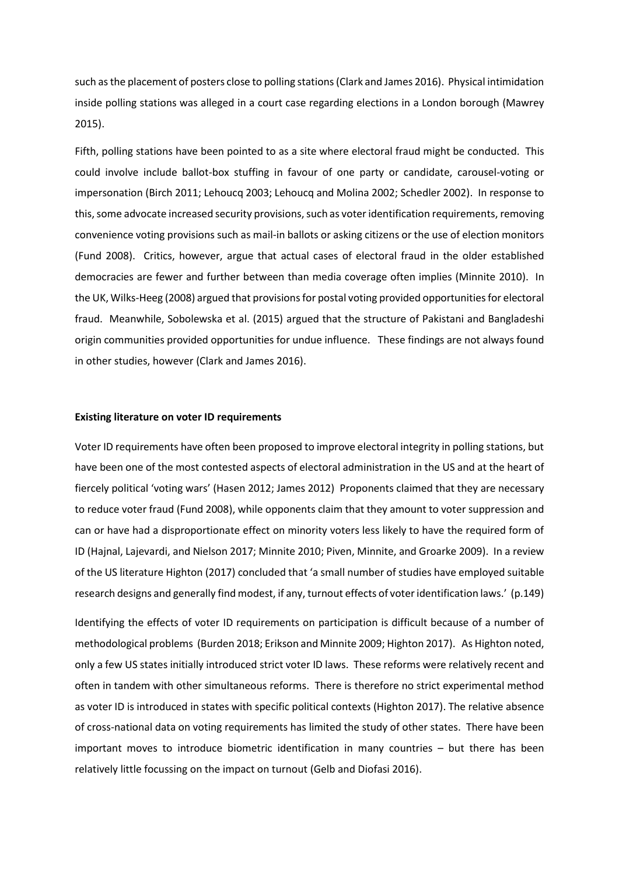such as the placement of posters close to polling stations(Clark and James 2016). Physical intimidation inside polling stations was alleged in a court case regarding elections in a London borough (Mawrey 2015).

Fifth, polling stations have been pointed to as a site where electoral fraud might be conducted. This could involve include ballot-box stuffing in favour of one party or candidate, carousel-voting or impersonation (Birch 2011; Lehoucq 2003; Lehoucq and Molina 2002; Schedler 2002). In response to this, some advocate increased security provisions, such as voter identification requirements, removing convenience voting provisions such as mail-in ballots or asking citizens or the use of election monitors (Fund 2008). Critics, however, argue that actual cases of electoral fraud in the older established democracies are fewer and further between than media coverage often implies (Minnite 2010). In the UK, Wilks-Heeg (2008) argued that provisions for postal voting provided opportunities for electoral fraud. Meanwhile, Sobolewska et al. (2015) argued that the structure of Pakistani and Bangladeshi origin communities provided opportunities for undue influence. These findings are not always found in other studies, however (Clark and James 2016).

#### **Existing literature on voter ID requirements**

Voter ID requirements have often been proposed to improve electoral integrity in polling stations, but have been one of the most contested aspects of electoral administration in the US and at the heart of fiercely political 'voting wars' (Hasen 2012; James 2012) Proponents claimed that they are necessary to reduce voter fraud (Fund 2008), while opponents claim that they amount to voter suppression and can or have had a disproportionate effect on minority voters less likely to have the required form of ID (Hajnal, Lajevardi, and Nielson 2017; Minnite 2010; Piven, Minnite, and Groarke 2009). In a review of the US literature Highton (2017) concluded that 'a small number of studies have employed suitable research designs and generally find modest, if any, turnout effects of voter identification laws.' (p.149)

Identifying the effects of voter ID requirements on participation is difficult because of a number of methodological problems (Burden 2018; Erikson and Minnite 2009; Highton 2017). As Highton noted, only a few US states initially introduced strict voter ID laws. These reforms were relatively recent and often in tandem with other simultaneous reforms. There is therefore no strict experimental method as voter ID is introduced in states with specific political contexts (Highton 2017). The relative absence of cross-national data on voting requirements has limited the study of other states. There have been important moves to introduce biometric identification in many countries – but there has been relatively little focussing on the impact on turnout (Gelb and Diofasi 2016).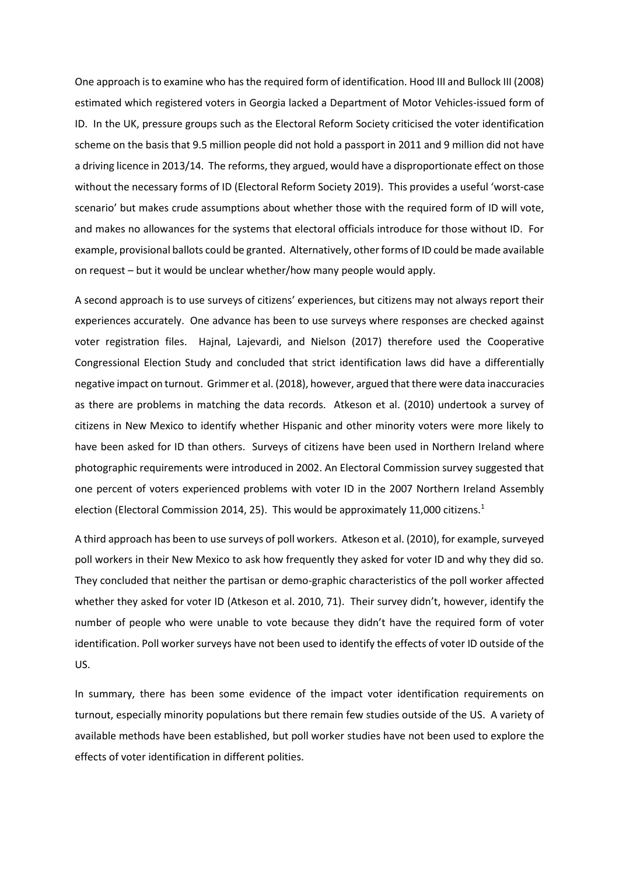One approach is to examine who has the required form of identification. Hood III and Bullock III (2008) estimated which registered voters in Georgia lacked a Department of Motor Vehicles-issued form of ID. In the UK, pressure groups such as the Electoral Reform Society criticised the voter identification scheme on the basis that 9.5 million people did not hold a passport in 2011 and 9 million did not have a driving licence in 2013/14. The reforms, they argued, would have a disproportionate effect on those without the necessary forms of ID (Electoral Reform Society 2019). This provides a useful 'worst-case scenario' but makes crude assumptions about whether those with the required form of ID will vote, and makes no allowances for the systems that electoral officials introduce for those without ID. For example, provisional ballots could be granted. Alternatively, other forms of ID could be made available on request – but it would be unclear whether/how many people would apply.

A second approach is to use surveys of citizens' experiences, but citizens may not always report their experiences accurately. One advance has been to use surveys where responses are checked against voter registration files. Hajnal, Lajevardi, and Nielson (2017) therefore used the Cooperative Congressional Election Study and concluded that strict identification laws did have a differentially negative impact on turnout. Grimmer et al. (2018), however, argued that there were data inaccuracies as there are problems in matching the data records. Atkeson et al. (2010) undertook a survey of citizens in New Mexico to identify whether Hispanic and other minority voters were more likely to have been asked for ID than others. Surveys of citizens have been used in Northern Ireland where photographic requirements were introduced in 2002. An Electoral Commission survey suggested that one percent of voters experienced problems with voter ID in the 2007 Northern Ireland Assembly election (Electoral Commission 2014, 25). This would be approximately 11,000 citizens.<sup>1</sup>

A third approach has been to use surveys of poll workers. Atkeson et al. (2010), for example, surveyed poll workers in their New Mexico to ask how frequently they asked for voter ID and why they did so. They concluded that neither the partisan or demo-graphic characteristics of the poll worker affected whether they asked for voter ID (Atkeson et al. 2010, 71). Their survey didn't, however, identify the number of people who were unable to vote because they didn't have the required form of voter identification. Poll worker surveys have not been used to identify the effects of voter ID outside of the US.

In summary, there has been some evidence of the impact voter identification requirements on turnout, especially minority populations but there remain few studies outside of the US. A variety of available methods have been established, but poll worker studies have not been used to explore the effects of voter identification in different polities.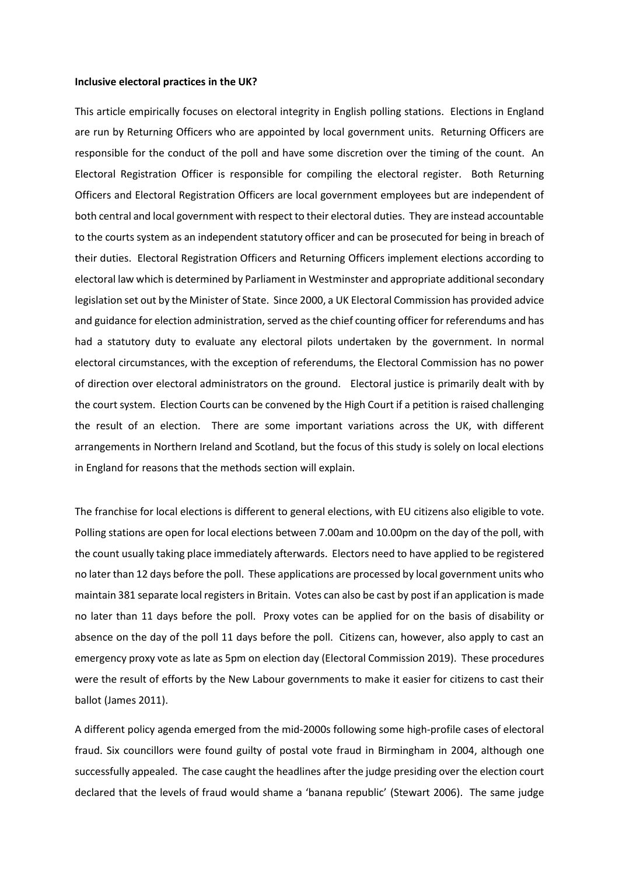#### **Inclusive electoral practices in the UK?**

This article empirically focuses on electoral integrity in English polling stations. Elections in England are run by Returning Officers who are appointed by local government units. Returning Officers are responsible for the conduct of the poll and have some discretion over the timing of the count. An Electoral Registration Officer is responsible for compiling the electoral register. Both Returning Officers and Electoral Registration Officers are local government employees but are independent of both central and local government with respect to their electoral duties. They are instead accountable to the courts system as an independent statutory officer and can be prosecuted for being in breach of their duties. Electoral Registration Officers and Returning Officers implement elections according to electoral law which is determined by Parliament in Westminster and appropriate additional secondary legislation set out by the Minister of State. Since 2000, a UK Electoral Commission has provided advice and guidance for election administration, served as the chief counting officer for referendums and has had a statutory duty to evaluate any electoral pilots undertaken by the government. In normal electoral circumstances, with the exception of referendums, the Electoral Commission has no power of direction over electoral administrators on the ground. Electoral justice is primarily dealt with by the court system. Election Courts can be convened by the High Court if a petition is raised challenging the result of an election. There are some important variations across the UK, with different arrangements in Northern Ireland and Scotland, but the focus of this study is solely on local elections in England for reasons that the methods section will explain.

The franchise for local elections is different to general elections, with EU citizens also eligible to vote. Polling stations are open for local elections between 7.00am and 10.00pm on the day of the poll, with the count usually taking place immediately afterwards. Electors need to have applied to be registered no later than 12 days before the poll. These applications are processed by local government units who maintain 381 separate local registersin Britain. Votes can also be cast by post if an application is made no later than 11 days before the poll. Proxy votes can be applied for on the basis of disability or absence on the day of the poll 11 days before the poll. Citizens can, however, also apply to cast an emergency proxy vote as late as 5pm on election day (Electoral Commission 2019). These procedures were the result of efforts by the New Labour governments to make it easier for citizens to cast their ballot (James 2011).

A different policy agenda emerged from the mid-2000s following some high-profile cases of electoral fraud. Six councillors were found guilty of postal vote fraud in Birmingham in 2004, although one successfully appealed. The case caught the headlines after the judge presiding over the election court declared that the levels of fraud would shame a 'banana republic' (Stewart 2006). The same judge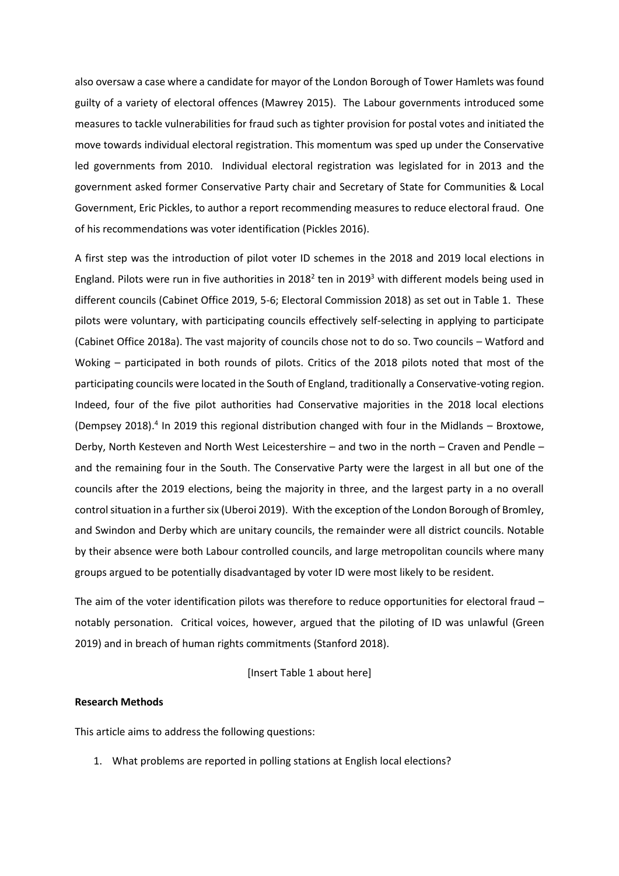also oversaw a case where a candidate for mayor of the London Borough of Tower Hamlets was found guilty of a variety of electoral offences (Mawrey 2015). The Labour governments introduced some measures to tackle vulnerabilities for fraud such as tighter provision for postal votes and initiated the move towards individual electoral registration. This momentum was sped up under the Conservative led governments from 2010. Individual electoral registration was legislated for in 2013 and the government asked former Conservative Party chair and Secretary of State for Communities & Local Government, Eric Pickles, to author a report recommending measures to reduce electoral fraud. One of his recommendations was voter identification (Pickles 2016).

A first step was the introduction of pilot voter ID schemes in the 2018 and 2019 local elections in England. Pilots were run in five authorities in 2018<sup>2</sup> ten in 2019<sup>3</sup> with different models being used in different councils (Cabinet Office 2019, 5-6; Electoral Commission 2018) as set out in Table 1. These pilots were voluntary, with participating councils effectively self-selecting in applying to participate (Cabinet Office 2018a). The vast majority of councils chose not to do so. Two councils – Watford and Woking – participated in both rounds of pilots. Critics of the 2018 pilots noted that most of the participating councils were located in the South of England, traditionally a Conservative-voting region. Indeed, four of the five pilot authorities had Conservative majorities in the 2018 local elections (Dempsey 2018).<sup>4</sup> In 2019 this regional distribution changed with four in the Midlands - Broxtowe, Derby, North Kesteven and North West Leicestershire – and two in the north – Craven and Pendle – and the remaining four in the South. The Conservative Party were the largest in all but one of the councils after the 2019 elections, being the majority in three, and the largest party in a no overall control situation in a further six (Uberoi 2019). With the exception of the London Borough of Bromley, and Swindon and Derby which are unitary councils, the remainder were all district councils. Notable by their absence were both Labour controlled councils, and large metropolitan councils where many groups argued to be potentially disadvantaged by voter ID were most likely to be resident.

The aim of the voter identification pilots was therefore to reduce opportunities for electoral fraud – notably personation. Critical voices, however, argued that the piloting of ID was unlawful (Green 2019) and in breach of human rights commitments (Stanford 2018).

[Insert Table 1 about here]

# **Research Methods**

This article aims to address the following questions:

1. What problems are reported in polling stations at English local elections?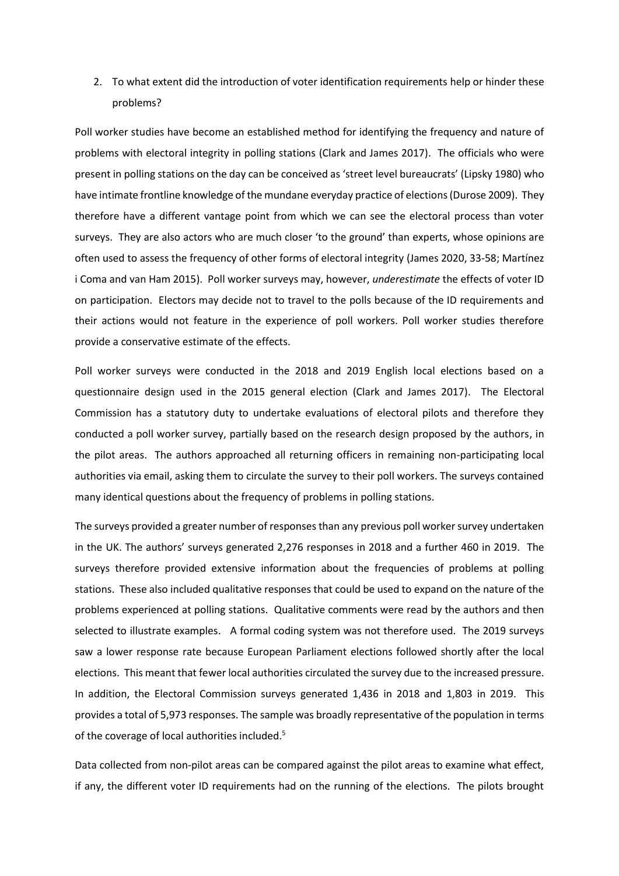2. To what extent did the introduction of voter identification requirements help or hinder these problems?

Poll worker studies have become an established method for identifying the frequency and nature of problems with electoral integrity in polling stations (Clark and James 2017). The officials who were present in polling stations on the day can be conceived as 'street level bureaucrats' (Lipsky 1980) who have intimate frontline knowledge of the mundane everyday practice of elections (Durose 2009). They therefore have a different vantage point from which we can see the electoral process than voter surveys. They are also actors who are much closer 'to the ground' than experts, whose opinions are often used to assess the frequency of other forms of electoral integrity (James 2020, 33-58; Martínez i Coma and van Ham 2015). Poll worker surveys may, however, *underestimate* the effects of voter ID on participation. Electors may decide not to travel to the polls because of the ID requirements and their actions would not feature in the experience of poll workers. Poll worker studies therefore provide a conservative estimate of the effects.

Poll worker surveys were conducted in the 2018 and 2019 English local elections based on a questionnaire design used in the 2015 general election (Clark and James 2017). The Electoral Commission has a statutory duty to undertake evaluations of electoral pilots and therefore they conducted a poll worker survey, partially based on the research design proposed by the authors, in the pilot areas. The authors approached all returning officers in remaining non-participating local authorities via email, asking them to circulate the survey to their poll workers. The surveys contained many identical questions about the frequency of problems in polling stations.

The surveys provided a greater number of responses than any previous poll worker survey undertaken in the UK. The authors' surveys generated 2,276 responses in 2018 and a further 460 in 2019. The surveys therefore provided extensive information about the frequencies of problems at polling stations. These also included qualitative responses that could be used to expand on the nature of the problems experienced at polling stations. Qualitative comments were read by the authors and then selected to illustrate examples. A formal coding system was not therefore used. The 2019 surveys saw a lower response rate because European Parliament elections followed shortly after the local elections. This meant that fewer local authorities circulated the survey due to the increased pressure. In addition, the Electoral Commission surveys generated 1,436 in 2018 and 1,803 in 2019. This provides a total of 5,973 responses. The sample was broadly representative of the population in terms of the coverage of local authorities included.<sup>5</sup>

Data collected from non-pilot areas can be compared against the pilot areas to examine what effect, if any, the different voter ID requirements had on the running of the elections. The pilots brought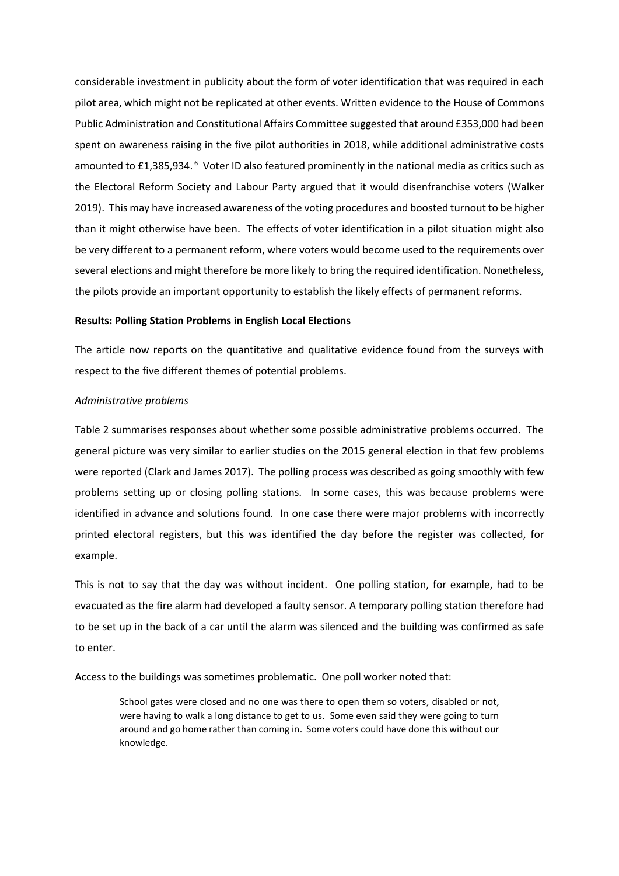considerable investment in publicity about the form of voter identification that was required in each pilot area, which might not be replicated at other events. Written evidence to the House of Commons Public Administration and Constitutional Affairs Committee suggested that around £353,000 had been spent on awareness raising in the five pilot authorities in 2018, while additional administrative costs amounted to £1,385,934.<sup>6</sup> Voter ID also featured prominently in the national media as critics such as the Electoral Reform Society and Labour Party argued that it would disenfranchise voters (Walker 2019). This may have increased awareness of the voting procedures and boosted turnout to be higher than it might otherwise have been. The effects of voter identification in a pilot situation might also be very different to a permanent reform, where voters would become used to the requirements over several elections and might therefore be more likely to bring the required identification. Nonetheless, the pilots provide an important opportunity to establish the likely effects of permanent reforms.

#### **Results: Polling Station Problems in English Local Elections**

The article now reports on the quantitative and qualitative evidence found from the surveys with respect to the five different themes of potential problems.

#### *Administrative problems*

Table 2 summarises responses about whether some possible administrative problems occurred. The general picture was very similar to earlier studies on the 2015 general election in that few problems were reported (Clark and James 2017). The polling process was described as going smoothly with few problems setting up or closing polling stations. In some cases, this was because problems were identified in advance and solutions found. In one case there were major problems with incorrectly printed electoral registers, but this was identified the day before the register was collected, for example.

This is not to say that the day was without incident. One polling station, for example, had to be evacuated as the fire alarm had developed a faulty sensor. A temporary polling station therefore had to be set up in the back of a car until the alarm was silenced and the building was confirmed as safe to enter.

Access to the buildings was sometimes problematic. One poll worker noted that:

School gates were closed and no one was there to open them so voters, disabled or not, were having to walk a long distance to get to us. Some even said they were going to turn around and go home rather than coming in. Some voters could have done this without our knowledge.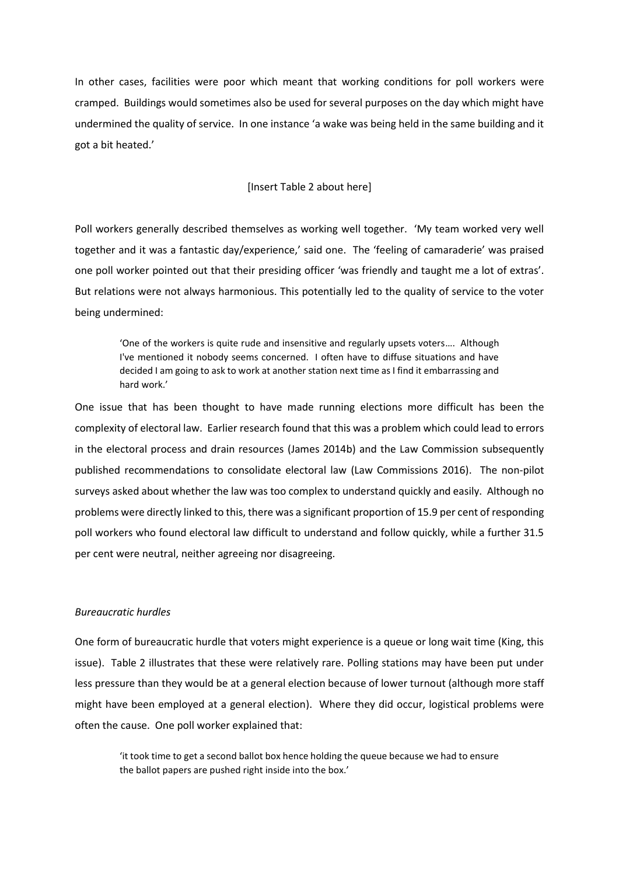In other cases, facilities were poor which meant that working conditions for poll workers were cramped. Buildings would sometimes also be used for several purposes on the day which might have undermined the quality of service. In one instance 'a wake was being held in the same building and it got a bit heated.'

## [Insert Table 2 about here]

Poll workers generally described themselves as working well together. 'My team worked very well together and it was a fantastic day/experience,' said one. The 'feeling of camaraderie' was praised one poll worker pointed out that their presiding officer 'was friendly and taught me a lot of extras'. But relations were not always harmonious. This potentially led to the quality of service to the voter being undermined:

'One of the workers is quite rude and insensitive and regularly upsets voters…. Although I've mentioned it nobody seems concerned. I often have to diffuse situations and have decided I am going to ask to work at another station next time as I find it embarrassing and hard work.'

One issue that has been thought to have made running elections more difficult has been the complexity of electoral law. Earlier research found that this was a problem which could lead to errors in the electoral process and drain resources (James 2014b) and the Law Commission subsequently published recommendations to consolidate electoral law (Law Commissions 2016). The non-pilot surveys asked about whether the law was too complex to understand quickly and easily. Although no problems were directly linked to this, there was a significant proportion of 15.9 per cent of responding poll workers who found electoral law difficult to understand and follow quickly, while a further 31.5 per cent were neutral, neither agreeing nor disagreeing.

# *Bureaucratic hurdles*

One form of bureaucratic hurdle that voters might experience is a queue or long wait time (King, this issue). Table 2 illustrates that these were relatively rare. Polling stations may have been put under less pressure than they would be at a general election because of lower turnout (although more staff might have been employed at a general election). Where they did occur, logistical problems were often the cause. One poll worker explained that:

'it took time to get a second ballot box hence holding the queue because we had to ensure the ballot papers are pushed right inside into the box.'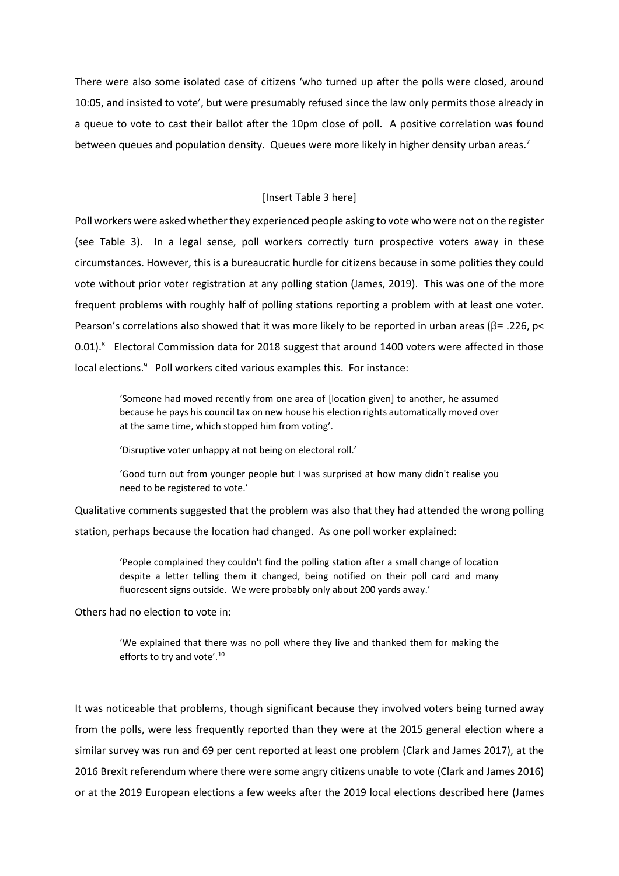There were also some isolated case of citizens 'who turned up after the polls were closed, around 10:05, and insisted to vote', but were presumably refused since the law only permits those already in a queue to vote to cast their ballot after the 10pm close of poll. A positive correlation was found between queues and population density. Queues were more likely in higher density urban areas.<sup>7</sup>

## [Insert Table 3 here]

Poll workers were asked whether they experienced people asking to vote who were not on the register (see Table 3). In a legal sense, poll workers correctly turn prospective voters away in these circumstances. However, this is a bureaucratic hurdle for citizens because in some polities they could vote without prior voter registration at any polling station (James, 2019). This was one of the more frequent problems with roughly half of polling stations reporting a problem with at least one voter. Pearson's correlations also showed that it was more likely to be reported in urban areas ( $\beta$ = .226, p< 0.01). $8$  Electoral Commission data for 2018 suggest that around 1400 voters were affected in those local elections.<sup>9</sup> Poll workers cited various examples this. For instance:

'Someone had moved recently from one area of [location given] to another, he assumed because he pays his council tax on new house his election rights automatically moved over at the same time, which stopped him from voting'.

'Disruptive voter unhappy at not being on electoral roll.'

'Good turn out from younger people but I was surprised at how many didn't realise you need to be registered to vote.'

Qualitative comments suggested that the problem was also that they had attended the wrong polling station, perhaps because the location had changed. As one poll worker explained:

'People complained they couldn't find the polling station after a small change of location despite a letter telling them it changed, being notified on their poll card and many fluorescent signs outside. We were probably only about 200 yards away.'

Others had no election to vote in:

'We explained that there was no poll where they live and thanked them for making the efforts to try and vote'.<sup>10</sup>

It was noticeable that problems, though significant because they involved voters being turned away from the polls, were less frequently reported than they were at the 2015 general election where a similar survey was run and 69 per cent reported at least one problem (Clark and James 2017), at the 2016 Brexit referendum where there were some angry citizens unable to vote (Clark and James 2016) or at the 2019 European elections a few weeks after the 2019 local elections described here (James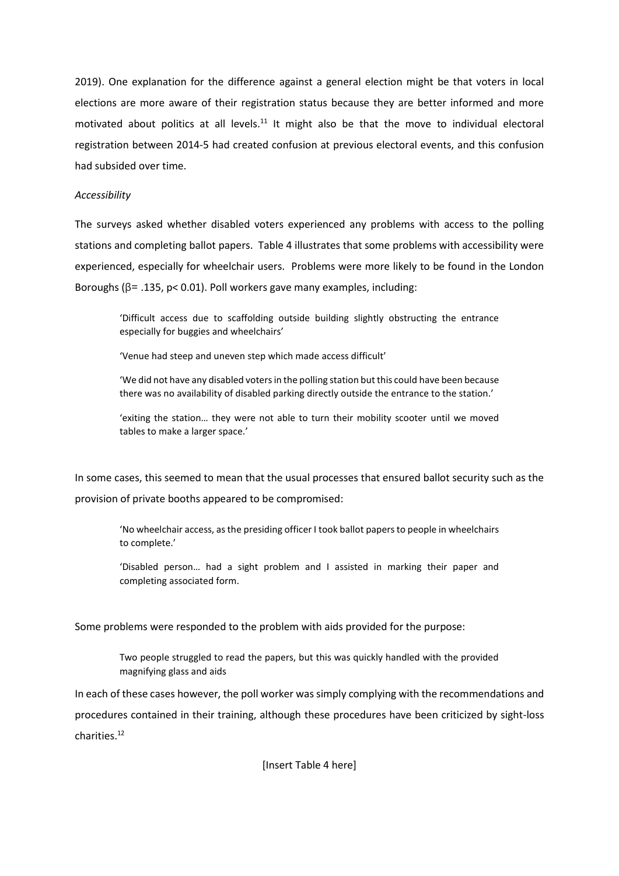2019). One explanation for the difference against a general election might be that voters in local elections are more aware of their registration status because they are better informed and more motivated about politics at all levels. $11$  It might also be that the move to individual electoral registration between 2014-5 had created confusion at previous electoral events, and this confusion had subsided over time.

# *Accessibility*

The surveys asked whether disabled voters experienced any problems with access to the polling stations and completing ballot papers. Table 4 illustrates that some problems with accessibility were experienced, especially for wheelchair users. Problems were more likely to be found in the London Boroughs (β= .135, p< 0.01). Poll workers gave many examples, including:

'Difficult access due to scaffolding outside building slightly obstructing the entrance especially for buggies and wheelchairs'

'Venue had steep and uneven step which made access difficult'

'We did not have any disabled voters in the polling station but this could have been because there was no availability of disabled parking directly outside the entrance to the station.'

'exiting the station… they were not able to turn their mobility scooter until we moved tables to make a larger space.'

In some cases, this seemed to mean that the usual processes that ensured ballot security such as the provision of private booths appeared to be compromised:

'No wheelchair access, as the presiding officer I took ballot papers to people in wheelchairs to complete.'

'Disabled person… had a sight problem and I assisted in marking their paper and completing associated form.

Some problems were responded to the problem with aids provided for the purpose:

Two people struggled to read the papers, but this was quickly handled with the provided magnifying glass and aids

In each of these cases however, the poll worker was simply complying with the recommendations and procedures contained in their training, although these procedures have been criticized by sight-loss charities.<sup>12</sup>

[Insert Table 4 here]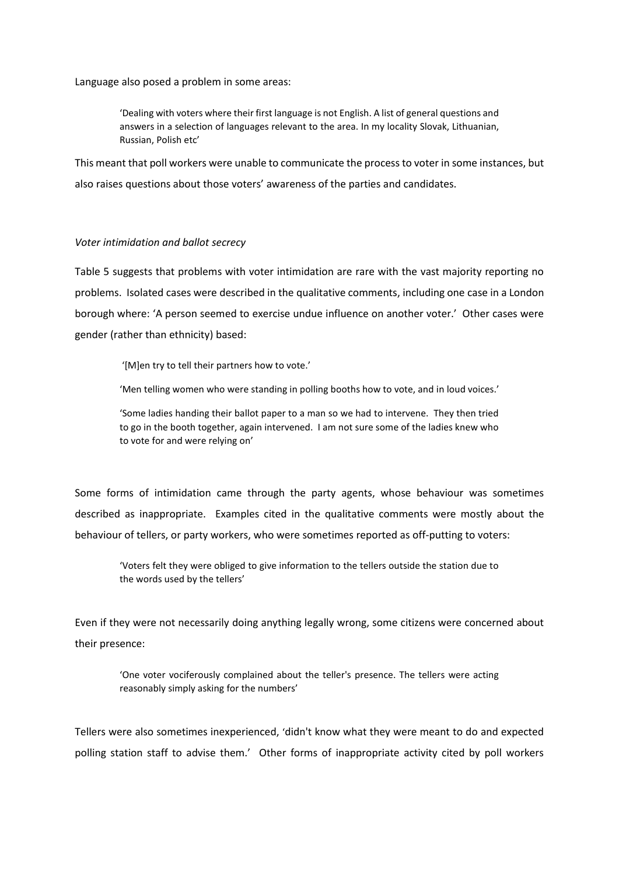Language also posed a problem in some areas:

'Dealing with voters where their first language is not English. A list of general questions and answers in a selection of languages relevant to the area. In my locality Slovak, Lithuanian, Russian, Polish etc'

This meant that poll workers were unable to communicate the process to voter in some instances, but also raises questions about those voters' awareness of the parties and candidates.

#### *Voter intimidation and ballot secrecy*

Table 5 suggests that problems with voter intimidation are rare with the vast majority reporting no problems. Isolated cases were described in the qualitative comments, including one case in a London borough where: 'A person seemed to exercise undue influence on another voter.' Other cases were gender (rather than ethnicity) based:

'[M]en try to tell their partners how to vote.'

'Men telling women who were standing in polling booths how to vote, and in loud voices.'

'Some ladies handing their ballot paper to a man so we had to intervene. They then tried to go in the booth together, again intervened. I am not sure some of the ladies knew who to vote for and were relying on'

Some forms of intimidation came through the party agents, whose behaviour was sometimes described as inappropriate. Examples cited in the qualitative comments were mostly about the behaviour of tellers, or party workers, who were sometimes reported as off-putting to voters:

'Voters felt they were obliged to give information to the tellers outside the station due to the words used by the tellers'

Even if they were not necessarily doing anything legally wrong, some citizens were concerned about their presence:

'One voter vociferously complained about the teller's presence. The tellers were acting reasonably simply asking for the numbers'

Tellers were also sometimes inexperienced, 'didn't know what they were meant to do and expected polling station staff to advise them.' Other forms of inappropriate activity cited by poll workers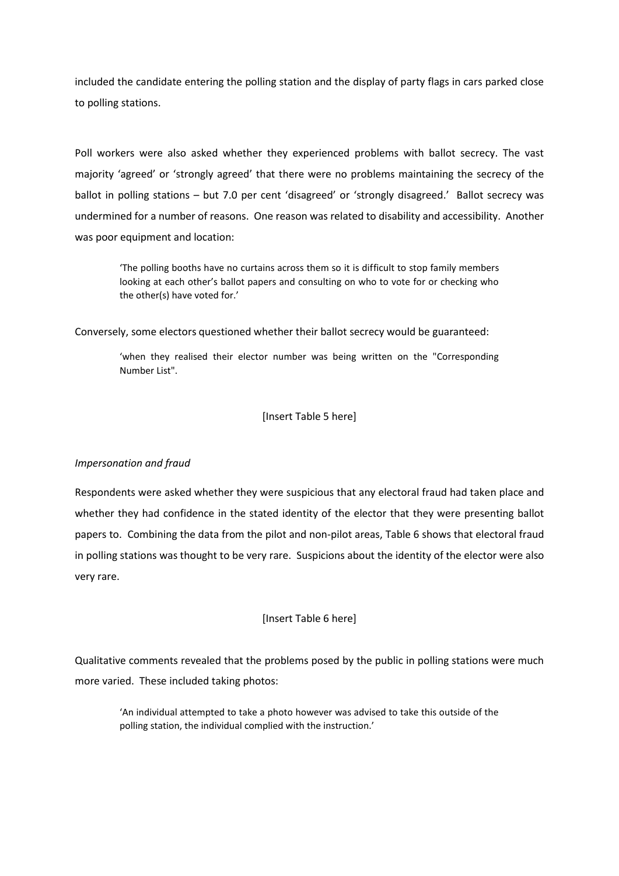included the candidate entering the polling station and the display of party flags in cars parked close to polling stations.

Poll workers were also asked whether they experienced problems with ballot secrecy. The vast majority 'agreed' or 'strongly agreed' that there were no problems maintaining the secrecy of the ballot in polling stations – but 7.0 per cent 'disagreed' or 'strongly disagreed.' Ballot secrecy was undermined for a number of reasons. One reason was related to disability and accessibility. Another was poor equipment and location:

'The polling booths have no curtains across them so it is difficult to stop family members looking at each other's ballot papers and consulting on who to vote for or checking who the other(s) have voted for.'

Conversely, some electors questioned whether their ballot secrecy would be guaranteed:

'when they realised their elector number was being written on the "Corresponding Number List".

[Insert Table 5 here]

# *Impersonation and fraud*

Respondents were asked whether they were suspicious that any electoral fraud had taken place and whether they had confidence in the stated identity of the elector that they were presenting ballot papers to. Combining the data from the pilot and non-pilot areas, Table 6 shows that electoral fraud in polling stations was thought to be very rare. Suspicions about the identity of the elector were also very rare.

# [Insert Table 6 here]

Qualitative comments revealed that the problems posed by the public in polling stations were much more varied. These included taking photos:

'An individual attempted to take a photo however was advised to take this outside of the polling station, the individual complied with the instruction.'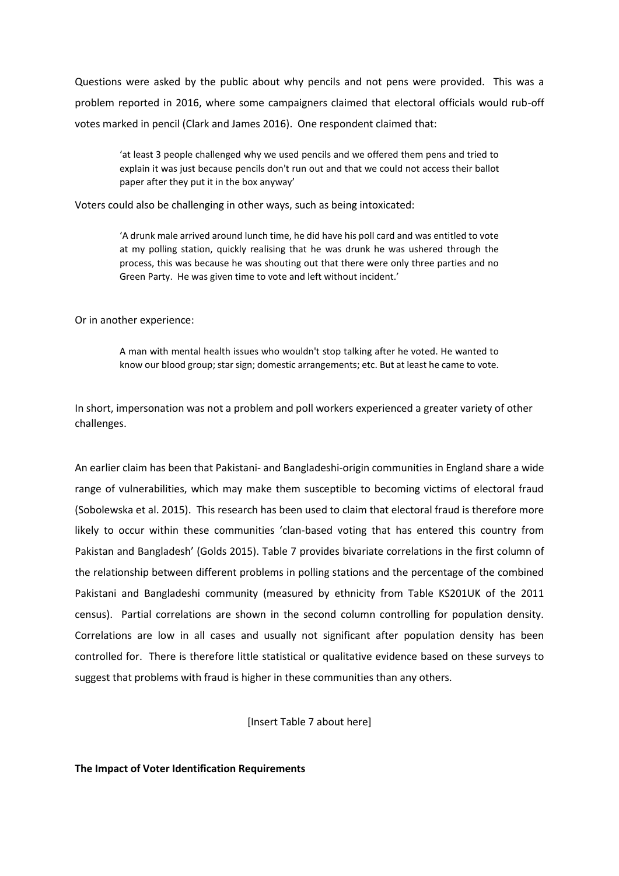Questions were asked by the public about why pencils and not pens were provided. This was a problem reported in 2016, where some campaigners claimed that electoral officials would rub-off votes marked in pencil (Clark and James 2016). One respondent claimed that:

'at least 3 people challenged why we used pencils and we offered them pens and tried to explain it was just because pencils don't run out and that we could not access their ballot paper after they put it in the box anyway'

Voters could also be challenging in other ways, such as being intoxicated:

'A drunk male arrived around lunch time, he did have his poll card and was entitled to vote at my polling station, quickly realising that he was drunk he was ushered through the process, this was because he was shouting out that there were only three parties and no Green Party. He was given time to vote and left without incident.'

Or in another experience:

A man with mental health issues who wouldn't stop talking after he voted. He wanted to know our blood group; star sign; domestic arrangements; etc. But at least he came to vote.

In short, impersonation was not a problem and poll workers experienced a greater variety of other challenges.

An earlier claim has been that Pakistani- and Bangladeshi-origin communities in England share a wide range of vulnerabilities, which may make them susceptible to becoming victims of electoral fraud (Sobolewska et al. 2015). This research has been used to claim that electoral fraud is therefore more likely to occur within these communities 'clan-based voting that has entered this country from Pakistan and Bangladesh' (Golds 2015). Table 7 provides bivariate correlations in the first column of the relationship between different problems in polling stations and the percentage of the combined Pakistani and Bangladeshi community (measured by ethnicity from Table KS201UK of the 2011 census). Partial correlations are shown in the second column controlling for population density. Correlations are low in all cases and usually not significant after population density has been controlled for. There is therefore little statistical or qualitative evidence based on these surveys to suggest that problems with fraud is higher in these communities than any others.

[Insert Table 7 about here]

# **The Impact of Voter Identification Requirements**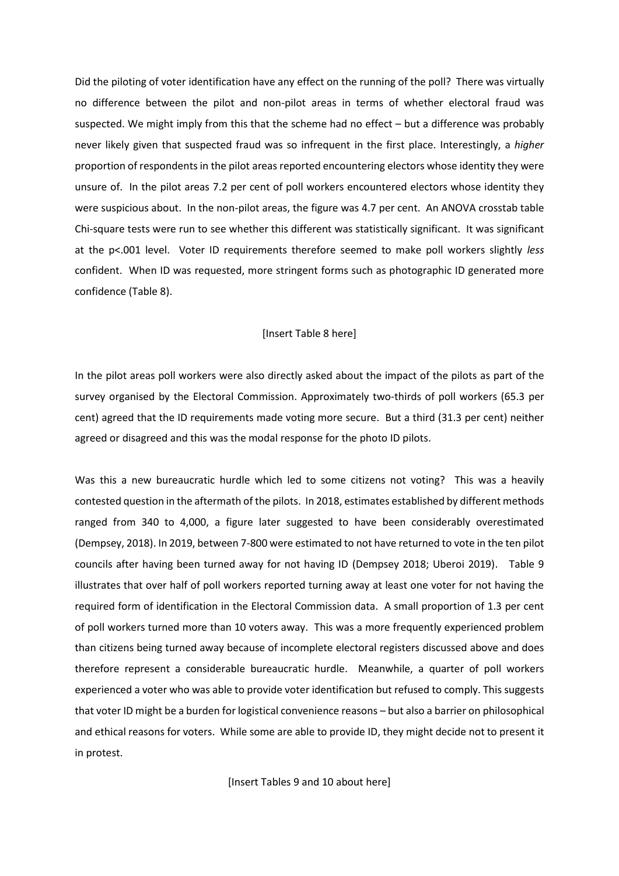Did the piloting of voter identification have any effect on the running of the poll? There was virtually no difference between the pilot and non-pilot areas in terms of whether electoral fraud was suspected. We might imply from this that the scheme had no effect – but a difference was probably never likely given that suspected fraud was so infrequent in the first place. Interestingly, a *higher* proportion of respondents in the pilot areas reported encountering electors whose identity they were unsure of. In the pilot areas 7.2 per cent of poll workers encountered electors whose identity they were suspicious about. In the non-pilot areas, the figure was 4.7 per cent. An ANOVA crosstab table Chi-square tests were run to see whether this different was statistically significant. It was significant at the p<.001 level. Voter ID requirements therefore seemed to make poll workers slightly *less* confident. When ID was requested, more stringent forms such as photographic ID generated more confidence (Table 8).

## [Insert Table 8 here]

In the pilot areas poll workers were also directly asked about the impact of the pilots as part of the survey organised by the Electoral Commission. Approximately two-thirds of poll workers (65.3 per cent) agreed that the ID requirements made voting more secure. But a third (31.3 per cent) neither agreed or disagreed and this was the modal response for the photo ID pilots.

Was this a new bureaucratic hurdle which led to some citizens not voting? This was a heavily contested question in the aftermath of the pilots. In 2018, estimates established by different methods ranged from 340 to 4,000, a figure later suggested to have been considerably overestimated (Dempsey, 2018). In 2019, between 7-800 were estimated to not have returned to vote in the ten pilot councils after having been turned away for not having ID (Dempsey 2018; Uberoi 2019). Table 9 illustrates that over half of poll workers reported turning away at least one voter for not having the required form of identification in the Electoral Commission data. A small proportion of 1.3 per cent of poll workers turned more than 10 voters away. This was a more frequently experienced problem than citizens being turned away because of incomplete electoral registers discussed above and does therefore represent a considerable bureaucratic hurdle. Meanwhile, a quarter of poll workers experienced a voter who was able to provide voter identification but refused to comply. This suggests that voter ID might be a burden for logistical convenience reasons – but also a barrier on philosophical and ethical reasons for voters. While some are able to provide ID, they might decide not to present it in protest.

[Insert Tables 9 and 10 about here]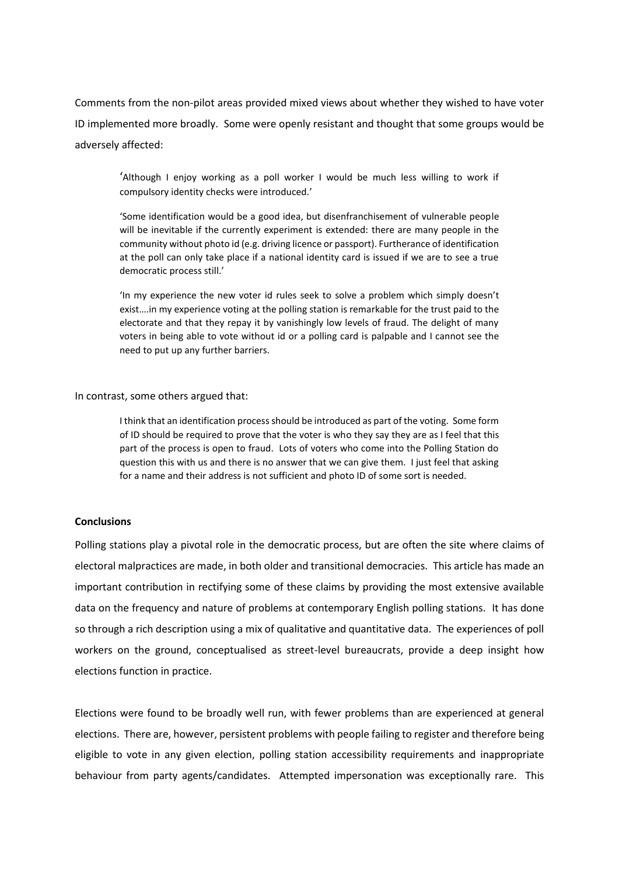Comments from the non-pilot areas provided mixed views about whether they wished to have voter ID implemented more broadly. Some were openly resistant and thought that some groups would be adversely affected:

'Although I enjoy working as a poll worker I would be much less willing to work if compulsory identity checks were introduced.'

'Some identification would be a good idea, but disenfranchisement of vulnerable people will be inevitable if the currently experiment is extended: there are many people in the community without photo id (e.g. driving licence or passport). Furtherance of identification at the poll can only take place if a national identity card is issued if we are to see a true democratic process still.'

'In my experience the new voter id rules seek to solve a problem which simply doesn't exist….in my experience voting at the polling station is remarkable for the trust paid to the electorate and that they repay it by vanishingly low levels of fraud. The delight of many voters in being able to vote without id or a polling card is palpable and I cannot see the need to put up any further barriers.

#### In contrast, some others argued that:

I think that an identification process should be introduced as part of the voting. Some form of ID should be required to prove that the voter is who they say they are as I feel that this part of the process is open to fraud. Lots of voters who come into the Polling Station do question this with us and there is no answer that we can give them. I just feel that asking for a name and their address is not sufficient and photo ID of some sort is needed.

# **Conclusions**

Polling stations play a pivotal role in the democratic process, but are often the site where claims of electoral malpractices are made, in both older and transitional democracies. This article has made an important contribution in rectifying some of these claims by providing the most extensive available data on the frequency and nature of problems at contemporary English polling stations. It has done so through a rich description using a mix of qualitative and quantitative data. The experiences of poll workers on the ground, conceptualised as street-level bureaucrats, provide a deep insight how elections function in practice.

Elections were found to be broadly well run, with fewer problems than are experienced at general elections. There are, however, persistent problems with people failing to register and therefore being eligible to vote in any given election, polling station accessibility requirements and inappropriate behaviour from party agents/candidates. Attempted impersonation was exceptionally rare. This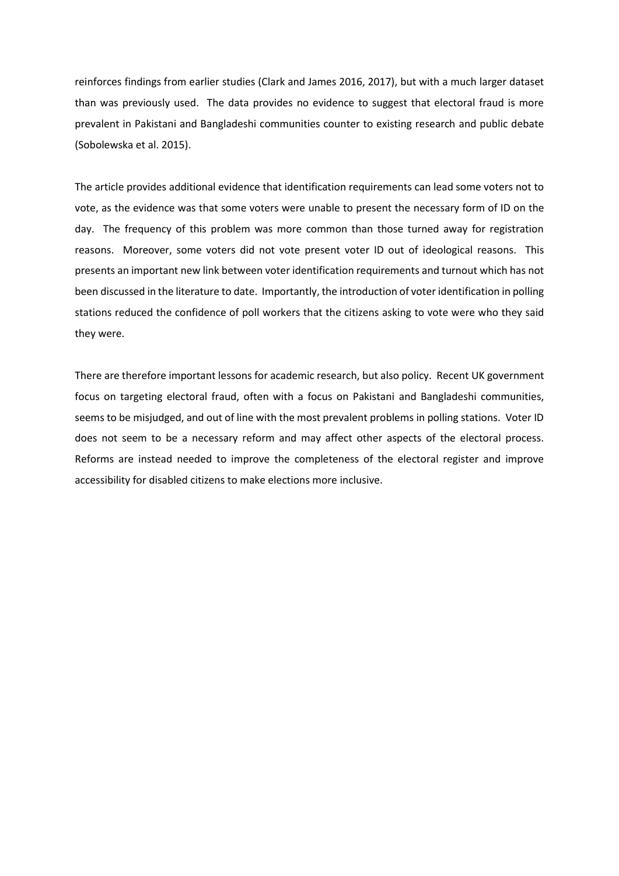reinforces findings from earlier studies (Clark and James 2016, 2017), but with a much larger dataset than was previously used. The data provides no evidence to suggest that electoral fraud is more prevalent in Pakistani and Bangladeshi communities counter to existing research and public debate (Sobolewska et al. 2015).

The article provides additional evidence that identification requirements can lead some voters not to vote, as the evidence was that some voters were unable to present the necessary form of ID on the day. The frequency of this problem was more common than those turned away for registration reasons. Moreover, some voters did not vote present voter ID out of ideological reasons. This presents an important new link between voter identification requirements and turnout which has not been discussed in the literature to date. Importantly, the introduction of voter identification in polling stations reduced the confidence of poll workers that the citizens asking to vote were who they said they were.

There are therefore important lessons for academic research, but also policy. Recent UK government focus on targeting electoral fraud, often with a focus on Pakistani and Bangladeshi communities, seems to be misjudged, and out of line with the most prevalent problems in polling stations. Voter ID does not seem to be a necessary reform and may affect other aspects of the electoral process. Reforms are instead needed to improve the completeness of the electoral register and improve accessibility for disabled citizens to make elections more inclusive.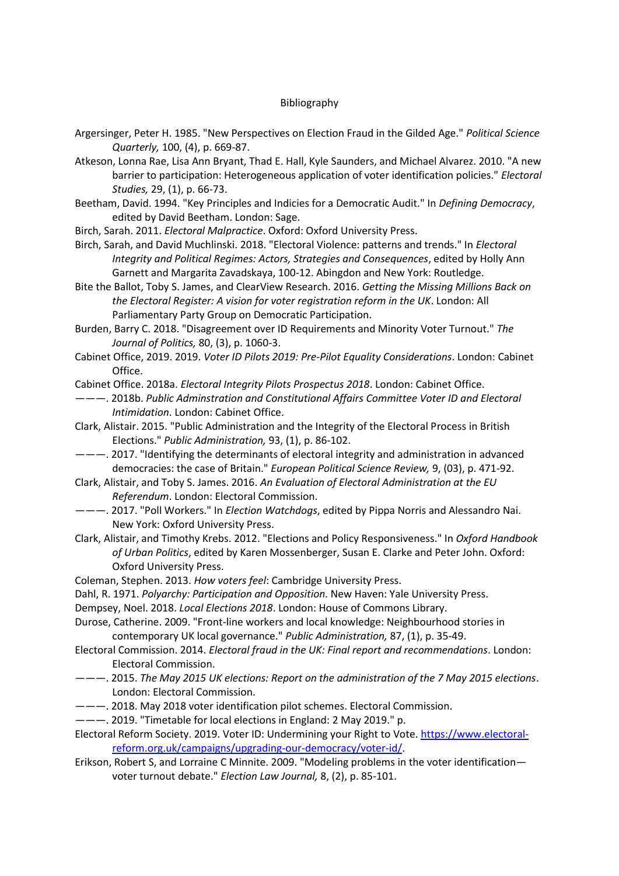# Bibliography

- Argersinger, Peter H. 1985. "New Perspectives on Election Fraud in the Gilded Age." *Political Science Quarterly,* 100, (4), p. 669-87.
- Atkeson, Lonna Rae, Lisa Ann Bryant, Thad E. Hall, Kyle Saunders, and Michael Alvarez. 2010. "A new barrier to participation: Heterogeneous application of voter identification policies." *Electoral Studies,* 29, (1), p. 66-73.
- Beetham, David. 1994. "Key Principles and Indicies for a Democratic Audit." In *Defining Democracy*, edited by David Beetham. London: Sage.
- Birch, Sarah. 2011. *Electoral Malpractice*. Oxford: Oxford University Press.
- Birch, Sarah, and David Muchlinski. 2018. "Electoral Violence: patterns and trends." In *Electoral Integrity and Political Regimes: Actors, Strategies and Consequences*, edited by Holly Ann Garnett and Margarita Zavadskaya, 100-12. Abingdon and New York: Routledge.
- Bite the Ballot, Toby S. James, and ClearView Research. 2016. *Getting the Missing Millions Back on the Electoral Register: A vision for voter registration reform in the UK*. London: All Parliamentary Party Group on Democratic Participation.
- Burden, Barry C. 2018. "Disagreement over ID Requirements and Minority Voter Turnout." *The Journal of Politics,* 80, (3), p. 1060-3.
- Cabinet Office, 2019. 2019. *Voter ID Pilots 2019: Pre-Pilot Equality Considerations*. London: Cabinet Office.
- Cabinet Office. 2018a. *Electoral Integrity Pilots Prospectus 2018*. London: Cabinet Office.
- ———. 2018b. *Public Adminstration and Constitutional Affairs Committee Voter ID and Electoral Intimidation*. London: Cabinet Office.
- Clark, Alistair. 2015. "Public Administration and the Integrity of the Electoral Process in British Elections." *Public Administration,* 93, (1), p. 86-102.
- ———. 2017. "Identifying the determinants of electoral integrity and administration in advanced democracies: the case of Britain." *European Political Science Review,* 9, (03), p. 471-92.
- Clark, Alistair, and Toby S. James. 2016. *An Evaluation of Electoral Administration at the EU Referendum*. London: Electoral Commission.
- ———. 2017. "Poll Workers." In *Election Watchdogs*, edited by Pippa Norris and Alessandro Nai. New York: Oxford University Press.
- Clark, Alistair, and Timothy Krebs. 2012. "Elections and Policy Responsiveness." In *Oxford Handbook of Urban Politics*, edited by Karen Mossenberger, Susan E. Clarke and Peter John. Oxford: Oxford University Press.
- Coleman, Stephen. 2013. *How voters feel*: Cambridge University Press.
- Dahl, R. 1971. *Polyarchy: Participation and Opposition*. New Haven: Yale University Press.
- Dempsey, Noel. 2018. *Local Elections 2018*. London: House of Commons Library.
- Durose, Catherine. 2009. "Front-line workers and local knowledge: Neighbourhood stories in contemporary UK local governance." *Public Administration,* 87, (1), p. 35-49.
- Electoral Commission. 2014. *Electoral fraud in the UK: Final report and recommendations*. London: Electoral Commission.
- ———. 2015. *The May 2015 UK elections: Report on the administration of the 7 May 2015 elections*. London: Electoral Commission.
- ———. 2018. May 2018 voter identification pilot schemes. Electoral Commission.
- ———. 2019. "Timetable for local elections in England: 2 May 2019." p.
- Electoral Reform Society. 2019. Voter ID: Undermining your Right to Vote[. https://www.electoral](https://www.electoral-reform.org.uk/campaigns/upgrading-our-democracy/voter-id/)[reform.org.uk/campaigns/upgrading-our-democracy/voter-id/.](https://www.electoral-reform.org.uk/campaigns/upgrading-our-democracy/voter-id/)
- Erikson, Robert S, and Lorraine C Minnite. 2009. "Modeling problems in the voter identification voter turnout debate." *Election Law Journal,* 8, (2), p. 85-101.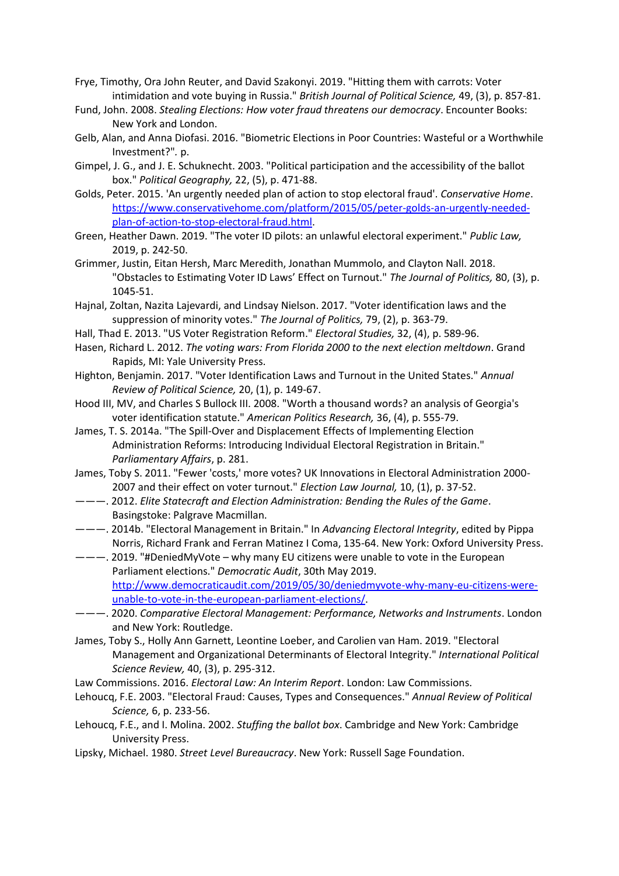- Frye, Timothy, Ora John Reuter, and David Szakonyi. 2019. "Hitting them with carrots: Voter intimidation and vote buying in Russia." *British Journal of Political Science,* 49, (3), p. 857-81.
- Fund, John. 2008. *Stealing Elections: How voter fraud threatens our democracy*. Encounter Books: New York and London.
- Gelb, Alan, and Anna Diofasi. 2016. "Biometric Elections in Poor Countries: Wasteful or a Worthwhile Investment?"*.* p.
- Gimpel, J. G., and J. E. Schuknecht. 2003. "Political participation and the accessibility of the ballot box." *Political Geography,* 22, (5), p. 471-88.
- Golds, Peter. 2015. 'An urgently needed plan of action to stop electoral fraud'. *Conservative Home*. [https://www.conservativehome.com/platform/2015/05/peter-golds-an-urgently-needed](https://www.conservativehome.com/platform/2015/05/peter-golds-an-urgently-needed-plan-of-action-to-stop-electoral-fraud.html)[plan-of-action-to-stop-electoral-fraud.html.](https://www.conservativehome.com/platform/2015/05/peter-golds-an-urgently-needed-plan-of-action-to-stop-electoral-fraud.html)
- Green, Heather Dawn. 2019. "The voter ID pilots: an unlawful electoral experiment." *Public Law,* 2019, p. 242-50.
- Grimmer, Justin, Eitan Hersh, Marc Meredith, Jonathan Mummolo, and Clayton Nall. 2018. "Obstacles to Estimating Voter ID Laws' Effect on Turnout." *The Journal of Politics,* 80, (3), p. 1045-51.
- Hajnal, Zoltan, Nazita Lajevardi, and Lindsay Nielson. 2017. "Voter identification laws and the suppression of minority votes." *The Journal of Politics,* 79, (2), p. 363-79.
- Hall, Thad E. 2013. "US Voter Registration Reform." *Electoral Studies,* 32, (4), p. 589-96.
- Hasen, Richard L. 2012. *The voting wars: From Florida 2000 to the next election meltdown*. Grand Rapids, MI: Yale University Press.
- Highton, Benjamin. 2017. "Voter Identification Laws and Turnout in the United States." *Annual Review of Political Science,* 20, (1), p. 149-67.
- Hood III, MV, and Charles S Bullock III. 2008. "Worth a thousand words? an analysis of Georgia's voter identification statute." *American Politics Research,* 36, (4), p. 555-79.
- James, T. S. 2014a. "The Spill-Over and Displacement Effects of Implementing Election Administration Reforms: Introducing Individual Electoral Registration in Britain." *Parliamentary Affairs*, p. 281.
- James, Toby S. 2011. "Fewer 'costs,' more votes? UK Innovations in Electoral Administration 2000- 2007 and their effect on voter turnout." *Election Law Journal,* 10, (1), p. 37-52.
- ———. 2012. *Elite Statecraft and Election Administration: Bending the Rules of the Game*. Basingstoke: Palgrave Macmillan.
- ———. 2014b. "Electoral Management in Britain." In *Advancing Electoral Integrity*, edited by Pippa Norris, Richard Frank and Ferran Matinez I Coma, 135-64. New York: Oxford University Press.
- ———. 2019. "#DeniedMyVote why many EU citizens were unable to vote in the European Parliament elections." *Democratic Audit*, 30th May 2019. [http://www.democraticaudit.com/2019/05/30/deniedmyvote-why-many-eu-citizens-were](http://www.democraticaudit.com/2019/05/30/deniedmyvote-why-many-eu-citizens-were-unable-to-vote-in-the-european-parliament-elections/)[unable-to-vote-in-the-european-parliament-elections/.](http://www.democraticaudit.com/2019/05/30/deniedmyvote-why-many-eu-citizens-were-unable-to-vote-in-the-european-parliament-elections/)
- ———. 2020. *Comparative Electoral Management: Performance, Networks and Instruments*. London and New York: Routledge.
- James, Toby S., Holly Ann Garnett, Leontine Loeber, and Carolien van Ham. 2019. "Electoral Management and Organizational Determinants of Electoral Integrity." *International Political Science Review,* 40, (3), p. 295-312.
- Law Commissions. 2016. *Electoral Law: An Interim Report*. London: Law Commissions.
- Lehoucq, F.E. 2003. "Electoral Fraud: Causes, Types and Consequences." *Annual Review of Political Science,* 6, p. 233-56.
- Lehoucq, F.E., and I. Molina. 2002. *Stuffing the ballot box*. Cambridge and New York: Cambridge University Press.
- Lipsky, Michael. 1980. *Street Level Bureaucracy*. New York: Russell Sage Foundation.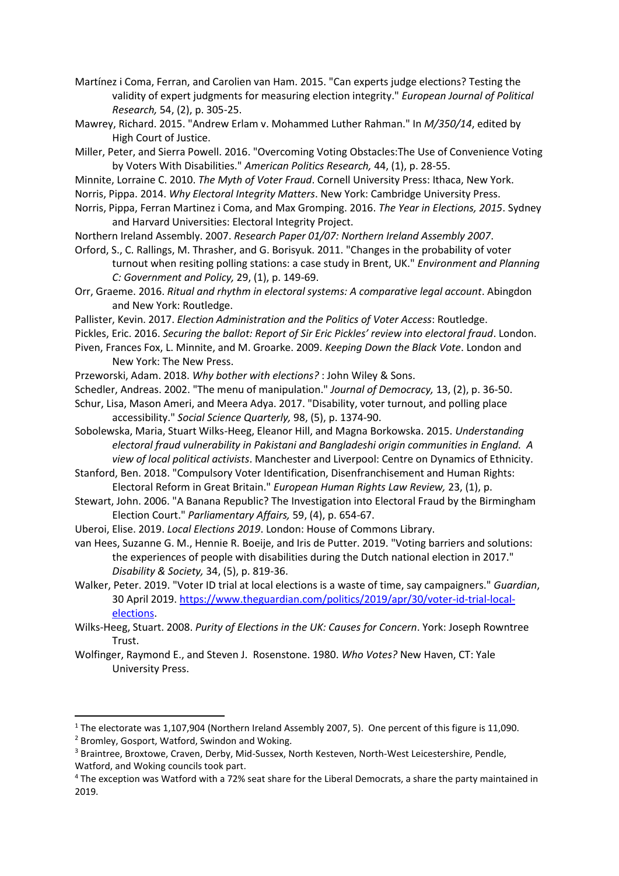Martínez i Coma, Ferran, and Carolien van Ham. 2015. "Can experts judge elections? Testing the validity of expert judgments for measuring election integrity." *European Journal of Political Research,* 54, (2), p. 305-25.

- Mawrey, Richard. 2015. "Andrew Erlam v. Mohammed Luther Rahman." In *M/350/14*, edited by High Court of Justice.
- Miller, Peter, and Sierra Powell. 2016. "Overcoming Voting Obstacles:The Use of Convenience Voting by Voters With Disabilities." *American Politics Research,* 44, (1), p. 28-55.
- Minnite, Lorraine C. 2010. *The Myth of Voter Fraud*. Cornell University Press: Ithaca, New York.
- Norris, Pippa. 2014. *Why Electoral Integrity Matters*. New York: Cambridge University Press.
- Norris, Pippa, Ferran Martinez i Coma, and Max Gromping. 2016. *The Year in Elections, 2015*. Sydney and Harvard Universities: Electoral Integrity Project.
- Northern Ireland Assembly. 2007. *Research Paper 01/07: Northern Ireland Assembly 2007*.
- Orford, S., C. Rallings, M. Thrasher, and G. Borisyuk. 2011. "Changes in the probability of voter turnout when resiting polling stations: a case study in Brent, UK." *Environment and Planning C: Government and Policy,* 29, (1), p. 149-69.
- Orr, Graeme. 2016. *Ritual and rhythm in electoral systems: A comparative legal account*. Abingdon and New York: Routledge.
- Pallister, Kevin. 2017. *Election Administration and the Politics of Voter Access*: Routledge.
- Pickles, Eric. 2016. *Securing the ballot: Report of Sir Eric Pickles' review into electoral fraud*. London.
- Piven, Frances Fox, L. Minnite, and M. Groarke. 2009. *Keeping Down the Black Vote*. London and New York: The New Press.
- Przeworski, Adam. 2018. *Why bother with elections?* : John Wiley & Sons.
- Schedler, Andreas. 2002. "The menu of manipulation." *Journal of Democracy,* 13, (2), p. 36-50.
- Schur, Lisa, Mason Ameri, and Meera Adya. 2017. "Disability, voter turnout, and polling place accessibility." *Social Science Quarterly,* 98, (5), p. 1374-90.
- Sobolewska, Maria, Stuart Wilks-Heeg, Eleanor Hill, and Magna Borkowska. 2015. *Understanding electoral fraud vulnerability in Pakistani and Bangladeshi origin communities in England. A view of local political activists*. Manchester and Liverpool: Centre on Dynamics of Ethnicity.
- Stanford, Ben. 2018. "Compulsory Voter Identification, Disenfranchisement and Human Rights: Electoral Reform in Great Britain." *European Human Rights Law Review,* 23, (1), p.
- Stewart, John. 2006. "A Banana Republic? The Investigation into Electoral Fraud by the Birmingham Election Court." *Parliamentary Affairs,* 59, (4), p. 654-67.
- Uberoi, Elise. 2019. *Local Elections 2019*. London: House of Commons Library.
- van Hees, Suzanne G. M., Hennie R. Boeije, and Iris de Putter. 2019. "Voting barriers and solutions: the experiences of people with disabilities during the Dutch national election in 2017." *Disability & Society,* 34, (5), p. 819-36.
- Walker, Peter. 2019. "Voter ID trial at local elections is a waste of time, say campaigners." *Guardian*, 30 April 2019[. https://www.theguardian.com/politics/2019/apr/30/voter-id-trial-local](https://www.theguardian.com/politics/2019/apr/30/voter-id-trial-local-elections)[elections.](https://www.theguardian.com/politics/2019/apr/30/voter-id-trial-local-elections)
- Wilks-Heeg, Stuart. 2008. *Purity of Elections in the UK: Causes for Concern*. York: Joseph Rowntree Trust.
- Wolfinger, Raymond E., and Steven J. Rosenstone. 1980. *Who Votes?* New Haven, CT: Yale University Press.

<sup>2</sup> Bromley, Gosport, Watford, Swindon and Woking.

 $\overline{a}$ 

<sup>&</sup>lt;sup>1</sup> The electorate was 1,107,904 (Northern Ireland Assembly 2007, 5). One percent of this figure is 11,090.

<sup>&</sup>lt;sup>3</sup> Braintree, Broxtowe, Craven, Derby, Mid-Sussex, North Kesteven, North-West Leicestershire, Pendle, Watford, and Woking councils took part.

<sup>4</sup> The exception was Watford with a 72% seat share for the Liberal Democrats, a share the party maintained in 2019.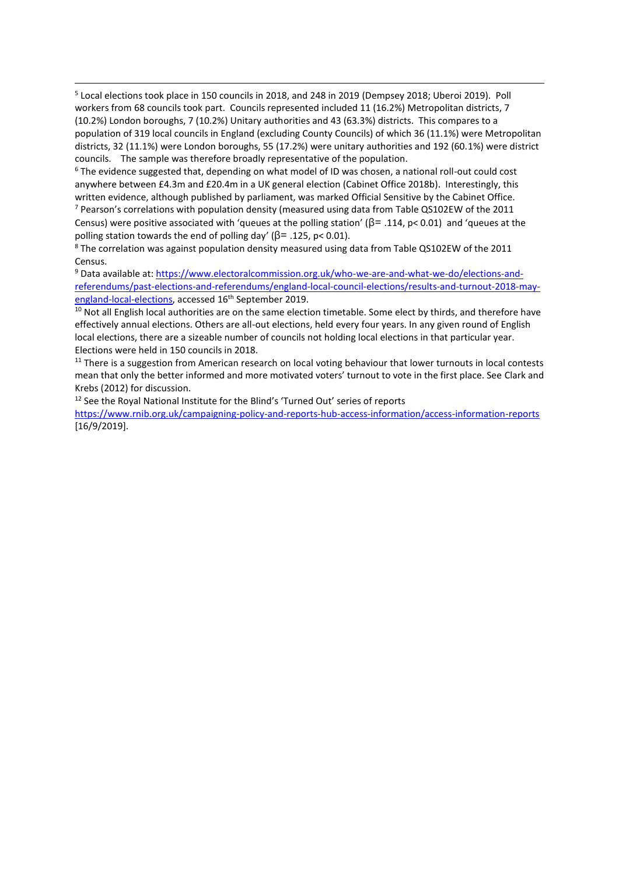<sup>5</sup> Local elections took place in 150 councils in 2018, and 248 in 2019 (Dempsey 2018; Uberoi 2019). Poll workers from 68 councils took part. Councils represented included 11 (16.2%) Metropolitan districts, 7 (10.2%) London boroughs, 7 (10.2%) Unitary authorities and 43 (63.3%) districts. This compares to a population of 319 local councils in England (excluding County Councils) of which 36 (11.1%) were Metropolitan districts, 32 (11.1%) were London boroughs, 55 (17.2%) were unitary authorities and 192 (60.1%) were district councils. The sample was therefore broadly representative of the population.

<sup>6</sup> The evidence suggested that, depending on what model of ID was chosen, a national roll-out could cost anywhere between £4.3m and £20.4m in a UK general election (Cabinet Office 2018b). Interestingly, this written evidence, although published by parliament, was marked Official Sensitive by the Cabinet Office.  $7$  Pearson's correlations with population density (measured using data from Table QS102EW of the 2011 Census) were positive associated with 'queues at the polling station' ( $\beta$ = .114, p< 0.01) and 'queues at the polling station towards the end of polling day' ( $\beta$ = .125, p< 0.01).

<sup>8</sup> The correlation was against population density measured using data from Table QS102EW of the 2011 Census.

<sup>9</sup> Data available at: [https://www.electoralcommission.org.uk/who-we-are-and-what-we-do/elections-and](https://www.electoralcommission.org.uk/who-we-are-and-what-we-do/elections-and-referendums/past-elections-and-referendums/england-local-council-elections/results-and-turnout-2018-may-england-local-elections)[referendums/past-elections-and-referendums/england-local-council-elections/results-and-turnout-2018-may](https://www.electoralcommission.org.uk/who-we-are-and-what-we-do/elections-and-referendums/past-elections-and-referendums/england-local-council-elections/results-and-turnout-2018-may-england-local-elections)[england-local-elections,](https://www.electoralcommission.org.uk/who-we-are-and-what-we-do/elections-and-referendums/past-elections-and-referendums/england-local-council-elections/results-and-turnout-2018-may-england-local-elections) accessed 16<sup>th</sup> September 2019.

<sup>10</sup> Not all English local authorities are on the same election timetable. Some elect by thirds, and therefore have effectively annual elections. Others are all-out elections, held every four years. In any given round of English local elections, there are a sizeable number of councils not holding local elections in that particular year. Elections were held in 150 councils in 2018.

<sup>11</sup> There is a suggestion from American research on local voting behaviour that lower turnouts in local contests mean that only the better informed and more motivated voters' turnout to vote in the first place. See Clark and Krebs (2012) for discussion.

<sup>12</sup> See the Royal National Institute for the Blind's 'Turned Out' series of reports

**.** 

<https://www.rnib.org.uk/campaigning-policy-and-reports-hub-access-information/access-information-reports> [16/9/2019].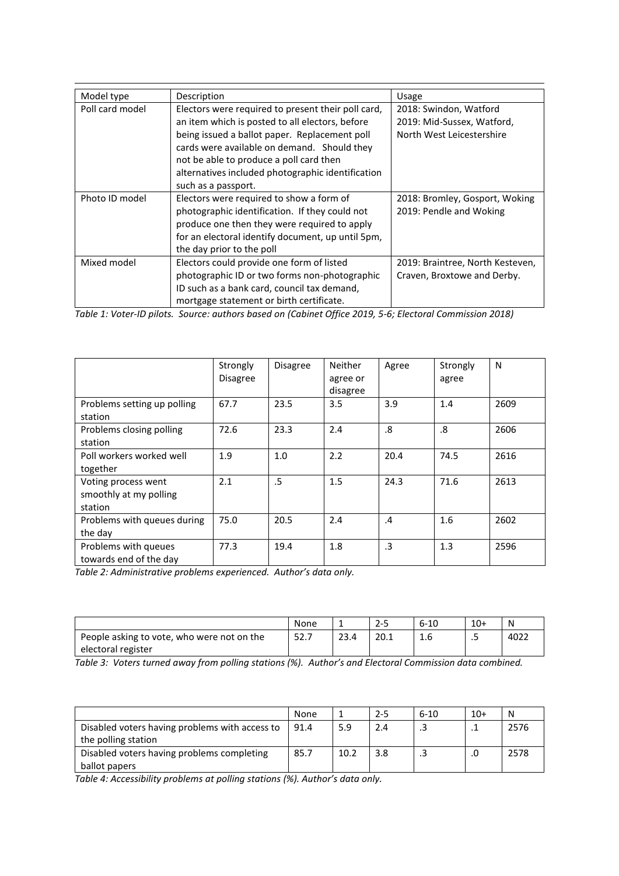| Model type      | Description                                        | Usage                            |
|-----------------|----------------------------------------------------|----------------------------------|
| Poll card model | Electors were required to present their poll card, | 2018: Swindon, Watford           |
|                 | an item which is posted to all electors, before    | 2019: Mid-Sussex, Watford,       |
|                 | being issued a ballot paper. Replacement poll      | North West Leicestershire        |
|                 | cards were available on demand. Should they        |                                  |
|                 | not be able to produce a poll card then            |                                  |
|                 | alternatives included photographic identification  |                                  |
|                 | such as a passport.                                |                                  |
| Photo ID model  | Electors were required to show a form of           | 2018: Bromley, Gosport, Woking   |
|                 | photographic identification. If they could not     | 2019: Pendle and Woking          |
|                 | produce one then they were required to apply       |                                  |
|                 | for an electoral identify document, up until 5pm,  |                                  |
|                 | the day prior to the poll                          |                                  |
| Mixed model     | Electors could provide one form of listed          | 2019: Braintree, North Kesteven, |
|                 | photographic ID or two forms non-photographic      | Craven, Broxtowe and Derby.      |
|                 | ID such as a bank card, council tax demand,        |                                  |
|                 | mortgage statement or birth certificate.           |                                  |

*Table 1: Voter-ID pilots. Source: authors based on (Cabinet Office 2019, 5-6; Electoral Commission 2018)*

|                                                          | Strongly<br><b>Disagree</b> | <b>Disagree</b> | <b>Neither</b><br>agree or<br>disagree | Agree     | Strongly<br>agree | N    |
|----------------------------------------------------------|-----------------------------|-----------------|----------------------------------------|-----------|-------------------|------|
| Problems setting up polling<br>station                   | 67.7                        | 23.5            | 3.5                                    | 3.9       | 1.4               | 2609 |
| Problems closing polling<br>station                      | 72.6                        | 23.3            | 2.4                                    | .8        | .8                | 2606 |
| Poll workers worked well<br>together                     | 1.9                         | 1.0             | 2.2                                    | 20.4      | 74.5              | 2616 |
| Voting process went<br>smoothly at my polling<br>station | 2.1                         | .5              | 1.5                                    | 24.3      | 71.6              | 2613 |
| Problems with queues during<br>the day                   | 75.0                        | 20.5            | 2.4                                    | .4        | 1.6               | 2602 |
| Problems with queues<br>towards end of the day           | 77.3                        | 19.4            | 1.8                                    | $\cdot$ 3 | 1.3               | 2596 |

*Table 2: Administrative problems experienced. Author's data only.*

|                                            | None | -    | 2-5<br>ر ے | $6 - 10$ | $10+$ | N    |
|--------------------------------------------|------|------|------------|----------|-------|------|
| People asking to vote, who were not on the | 52.7 | 23.4 | 20.1       | 1.6      | ر.    | 4022 |
| electoral register                         |      |      |            |          |       |      |

*Table 3: Voters turned away from polling stations (%). Author's and Electoral Commission data combined.*

|                                                | None |      | $2 - 5$ | $6 - 10$ | $10+$ | N    |
|------------------------------------------------|------|------|---------|----------|-------|------|
| Disabled voters having problems with access to | 91.4 | 5.9  | 2.4     |          |       | 2576 |
| the polling station                            |      |      |         |          |       |      |
| Disabled voters having problems completing     | 85.7 | 10.2 | 3.8     |          |       | 2578 |
| ballot papers                                  |      |      |         |          |       |      |

*Table 4: Accessibility problems at polling stations (%). Author's data only.*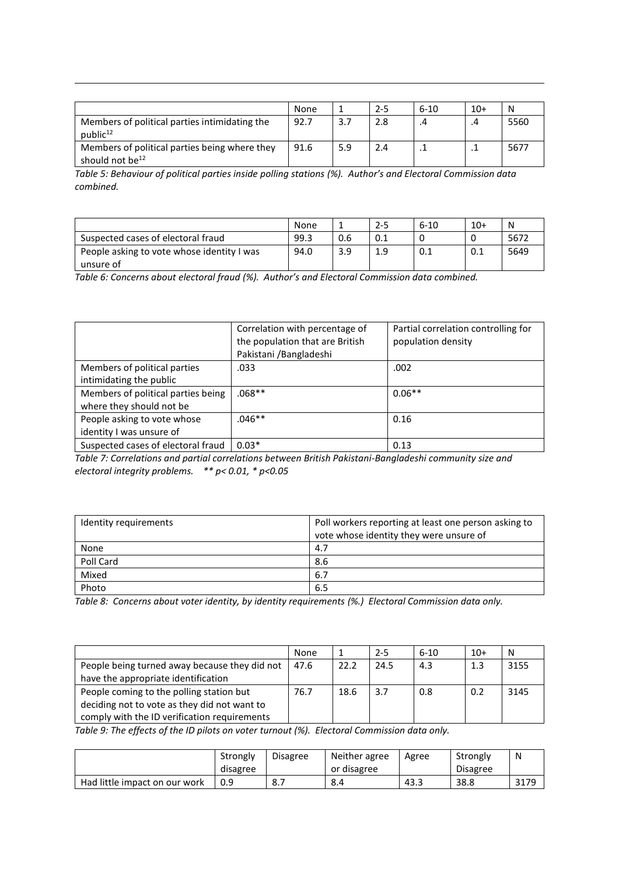|                                                                              | None |     | $2 - 5$ | $6 - 10$ | $10+$ | N    |
|------------------------------------------------------------------------------|------|-----|---------|----------|-------|------|
| Members of political parties intimidating the<br>public <sup>12</sup>        | 92.7 | 3.7 | 2.8     |          | .4    | 5560 |
| Members of political parties being where they<br>should not be <sup>12</sup> | 91.6 | 5.9 | 2.4     |          |       | 5677 |

*Table 5: Behaviour of political parties inside polling stations (%). Author's and Electoral Commission data combined.*

|                                            | None |     | $2 - 5$ | $6 - 10$ | $10+$ | N    |
|--------------------------------------------|------|-----|---------|----------|-------|------|
| Suspected cases of electoral fraud         | 99.3 | 0.6 | 0.1     |          |       | ے567 |
| People asking to vote whose identity I was | 94.0 | 3.9 | 1.9     | 0.1      | 0.1   | 5649 |
| unsure of                                  |      |     |         |          |       |      |

*Table 6: Concerns about electoral fraud (%). Author's and Electoral Commission data combined.*

**.** 

|                                                                | Correlation with percentage of<br>the population that are British<br>Pakistani / Bangladeshi | Partial correlation controlling for<br>population density |
|----------------------------------------------------------------|----------------------------------------------------------------------------------------------|-----------------------------------------------------------|
| Members of political parties<br>intimidating the public        | .033                                                                                         | .002                                                      |
| Members of political parties being<br>where they should not be | $.068**$                                                                                     | $0.06**$                                                  |
| People asking to vote whose<br>identity I was unsure of        | $.046**$                                                                                     | 0.16                                                      |
| Suspected cases of electoral fraud                             | $0.03*$                                                                                      | 0.13                                                      |

*Table 7: Correlations and partial correlations between British Pakistani-Bangladeshi community size and electoral integrity problems. \*\* p< 0.01, \* p<0.05* 

| Identity requirements | Poll workers reporting at least one person asking to |
|-----------------------|------------------------------------------------------|
|                       | vote whose identity they were unsure of              |
| None                  | 4.7                                                  |
| Poll Card             | 8.6                                                  |
| Mixed                 | 6.7                                                  |
| Photo                 | 6.5                                                  |

*Table 8: Concerns about voter identity, by identity requirements (%.) Electoral Commission data only.*

|                                               | None |      | $2 - 5$ | $6 - 10$ | $10+$ | N    |
|-----------------------------------------------|------|------|---------|----------|-------|------|
| People being turned away because they did not | 47.6 | 22.2 | 24.5    | 4.3      | 1.3   | 3155 |
| have the appropriate identification           |      |      |         |          |       |      |
| People coming to the polling station but      | 76.7 | 18.6 | 3.7     | 0.8      | 0.2   | 3145 |
| deciding not to vote as they did not want to  |      |      |         |          |       |      |
| comply with the ID verification requirements  |      |      |         |          |       |      |

*Table 9: The effects of the ID pilots on voter turnout (%). Electoral Commission data only.*

|                               | Strongly<br>disagree | Disagree                               | Neither agree<br>or disagree | Agree | Strongly<br><b>Disagree</b> | N                 |
|-------------------------------|----------------------|----------------------------------------|------------------------------|-------|-----------------------------|-------------------|
| Had little impact on our work | 0.9                  | $\circ$ $\overline{\phantom{0}}$<br>ن. | $\circ$<br>8.4               | 43.ಎ  | 38.8                        | 2170<br><b>JI</b> |